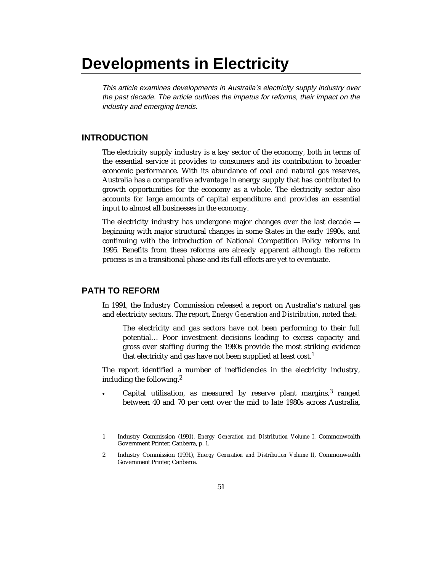# **Developments in Electricity**

This article examines developments in Australia's electricity supply industry over the past decade. The article outlines the impetus for reforms, their impact on the industry and emerging trends.

#### **INTRODUCTION**

The electricity supply industry is a key sector of the economy, both in terms of the essential service it provides to consumers and its contribution to broader economic performance. With its abundance of coal and natural gas reserves, Australia has a comparative advantage in energy supply that has contributed to growth opportunities for the economy as a whole. The electricity sector also accounts for large amounts of capital expenditure and provides an essential input to almost all businesses in the economy.

The electricity industry has undergone major changes over the last decade beginning with major structural changes in some States in the early 1990s, and continuing with the introduction of National Competition Policy reforms in 1995. Benefits from these reforms are already apparent although the reform process is in a transitional phase and its full effects are yet to eventuate.

# **PATH TO REFORM**

 $\overline{a}$ 

In 1991, the Industry Commission released a report on Australia's natural gas and electricity sectors. The report, *Energy Generation and Distribution*, noted that:

The electricity and gas sectors have not been performing to their full potential… Poor investment decisions leading to excess capacity and gross over staffing during the 1980s provide the most striking evidence that electricity and gas have not been supplied at least cost.<sup>1</sup>

The report identified a number of inefficiencies in the electricity industry, including the following.<sup>2</sup>

 $\bullet$ Capital utilisation, as measured by reserve plant margins, $3$  ranged between 40 and 70 per cent over the mid to late 1980s across Australia,

<sup>1</sup> Industry Commission (1991), *Energy Generation and Distribution Volume I*, Commonwealth Government Printer, Canberra, p. 1.

<sup>2</sup> Industry Commission (1991), *Energy Generation and Distribution Volume II*, Commonwealth Government Printer, Canberra.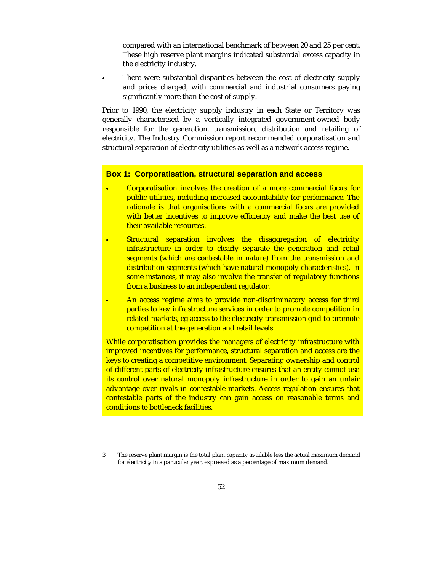compared with an international benchmark of between 20 and 25 per cent. These high reserve plant margins indicated substantial excess capacity in the electricity industry.

 There were substantial disparities between the cost of electricity supply and prices charged, with commercial and industrial consumers paying significantly more than the cost of supply.

Prior to 1990, the electricity supply industry in each State or Territory was generally characterised by a vertically integrated government-owned body responsible for the generation, transmission, distribution and retailing of electricity. The Industry Commission report recommended corporatisation and structural separation of electricity utilities as well as a network access regime.

#### **Box 1: Corporatisation, structural separation and access**

 $\overline{a}$ 

-

- $\ddot{\phantom{0}}$  Corporatisation involves the creation of a more commercial focus for public utilities, including increased accountability for performance. The rationale is that organisations with a commercial focus are provided with better incentives to improve efficiency and make the best use of their available resources.
- $\bullet$  Structural separation involves the disaggregation of electricity infrastructure in order to clearly separate the generation and retail segments (which are contestable in nature) from the transmission and distribution segments (which have natural monopoly characteristics). In some instances, it may also involve the transfer of regulatory functions from a business to an independent regulator.
- $\bullet$  An access regime aims to provide non-discriminatory access for third parties to key infrastructure services in order to promote competition in related markets, eg access to the electricity transmission grid to promote competition at the generation and retail levels.

While corporatisation provides the managers of electricity infrastructure with improved incentives for performance, structural separation and access are the keys to creating a competitive environment. Separating ownership and control of different parts of electricity infrastructure ensures that an entity cannot use its control over natural monopoly infrastructure in order to gain an unfair advantage over rivals in contestable markets. Access regulation ensures that contestable parts of the industry can gain access on reasonable terms and conditions to bottleneck facilities.

<sup>3</sup> The reserve plant margin is the total plant capacity available less the actual maximum demand for electricity in a particular year, expressed as a percentage of maximum demand.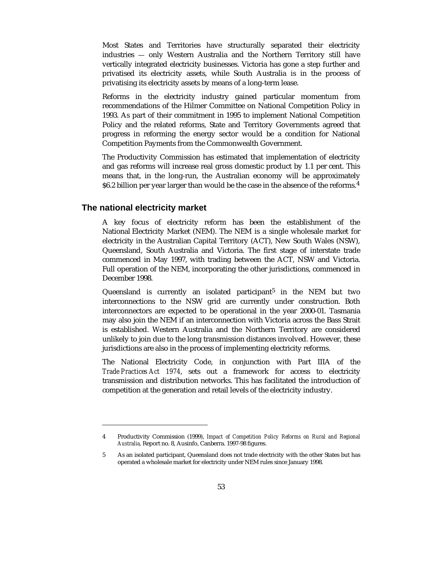Most States and Territories have structurally separated their electricity industries — only Western Australia and the Northern Territory still have vertically integrated electricity businesses. Victoria has gone a step further and privatised its electricity assets, while South Australia is in the process of privatising its electricity assets by means of a long-term lease.

Reforms in the electricity industry gained particular momentum from recommendations of the Hilmer Committee on National Competition Policy in 1993. As part of their commitment in 1995 to implement National Competition Policy and the related reforms, State and Territory Governments agreed that progress in reforming the energy sector would be a condition for National Competition Payments from the Commonwealth Government.

The Productivity Commission has estimated that implementation of electricity and gas reforms will increase real gross domestic product by 1.1 per cent. This means that, in the long-run, the Australian economy will be approximately \$6.2 billion per year larger than would be the case in the absence of the reforms.<sup>4</sup>

#### **The national electricity market**

-

A key focus of electricity reform has been the establishment of the National Electricity Market (NEM). The NEM is a single wholesale market for electricity in the Australian Capital Territory (ACT), New South Wales (NSW), Queensland, South Australia and Victoria. The first stage of interstate trade commenced in May 1997, with trading between the ACT, NSW and Victoria. Full operation of the NEM, incorporating the other jurisdictions, commenced in December 1998.

Queensland is currently an isolated participant<sup>5</sup> in the NEM but two interconnections to the NSW grid are currently under construction. Both interconnectors are expected to be operational in the year 2000-01. Tasmania may also join the NEM if an interconnection with Victoria across the Bass Strait is established. Western Australia and the Northern Territory are considered unlikely to join due to the long transmission distances involved. However, these jurisdictions are also in the process of implementing electricity reforms.

The National Electricity Code, in conjunction with Part IIIA of the *Trade Practices Act 1974*, sets out a framework for access to electricity transmission and distribution networks. This has facilitated the introduction of competition at the generation and retail levels of the electricity industry.

<sup>4</sup> Productivity Commission (1999), *Impact of Competition Policy Reforms on Rural and Regional Australia,* Report no. 8, Ausinfo, Canberra. 1997-98 figures.

<sup>5</sup> As an isolated participant, Queensland does not trade electricity with the other States but has operated a wholesale market for electricity under NEM rules since January 1998.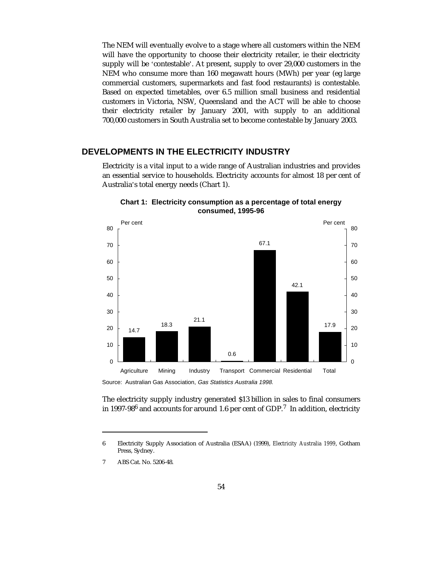The NEM will eventually evolve to a stage where all customers within the NEM will have the opportunity to choose their electricity retailer, ie their electricity supply will be 'contestable'. At present, supply to over 29,000 customers in the NEM who consume more than 160 megawatt hours (MWh) per year (eg large commercial customers, supermarkets and fast food restaurants) is contestable. Based on expected timetables, over 6.5 million small business and residential customers in Victoria, NSW, Queensland and the ACT will be able to choose their electricity retailer by January 2001, with supply to an additional 700,000 customers in South Australia set to become contestable by January 2003.

# **DEVELOPMENTS IN THE ELECTRICITY INDUSTRY**

Electricity is a vital input to a wide range of Australian industries and provides an essential service to households. Electricity accounts for almost 18 per cent of Australia's total energy needs (Chart 1).



**Chart 1: Electricity consumption as a percentage of total energy consumed, 1995-96**

Source: Australian Gas Association, Gas Statistics Australia 1998.

The electricity supply industry generated \$13 billion in sales to final consumers in 1997-98 $^6$  and accounts for around 1.6 per cent of GDP.<sup>7</sup> In addition, electricity

-

<sup>6</sup> Electricity Supply Association of Australia (ESAA) (1999), *Electricity Australia 1999*, Gotham Press, Sydney.

<sup>7</sup> ABS Cat. No. 5206-48.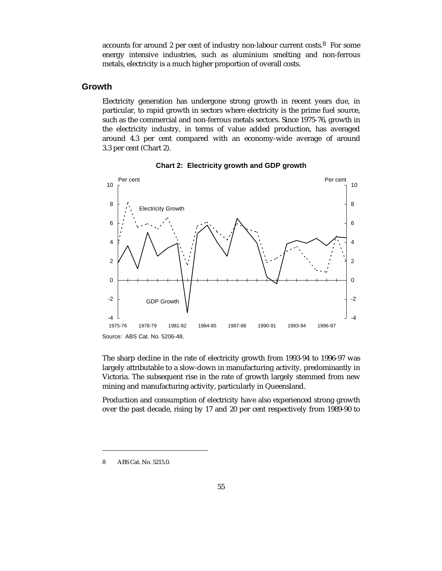accounts for around 2 per cent of industry non-labour current costs.8 For some energy intensive industries, such as aluminium smelting and non-ferrous metals, electricity is a much higher proportion of overall costs.

# **Growth**

Electricity generation has undergone strong growth in recent years due, in particular, to rapid growth in sectors where electricity is the prime fuel source, such as the commercial and non-ferrous metals sectors. Since 1975-76, growth in the electricity industry, in terms of value added production, has averaged around 4.3 per cent compared with an economy-wide average of around 3.3 per cent (Chart 2).



**Chart 2: Electricity growth and GDP growth**

The sharp decline in the rate of electricity growth from 1993-94 to 1996-97 was largely attributable to a slow-down in manufacturing activity, predominantly in Victoria. The subsequent rise in the rate of growth largely stemmed from new mining and manufacturing activity, particularly in Queensland.

Production and consumption of electricity have also experienced strong growth over the past decade, rising by 17 and 20 per cent respectively from 1989-90 to

8 ABS Cat. No. 5215.0.

1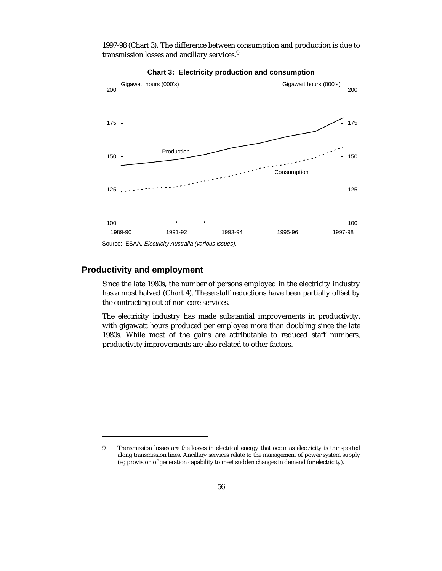1997-98 (Chart 3). The difference between consumption and production is due to transmission losses and ancillary services.<sup>9</sup>



**Chart 3: Electricity production and consumption**

# **Productivity and employment**

-

Since the late 1980s, the number of persons employed in the electricity industry has almost halved (Chart 4). These staff reductions have been partially offset by the contracting out of non-core services.

The electricity industry has made substantial improvements in productivity, with gigawatt hours produced per employee more than doubling since the late 1980s. While most of the gains are attributable to reduced staff numbers, productivity improvements are also related to other factors.

Source: ESAA, Electricity Australia (various issues).

<sup>9</sup> Transmission losses are the losses in electrical energy that occur as electricity is transported along transmission lines. Ancillary services relate to the management of power system supply (eg provision of generation capability to meet sudden changes in demand for electricity).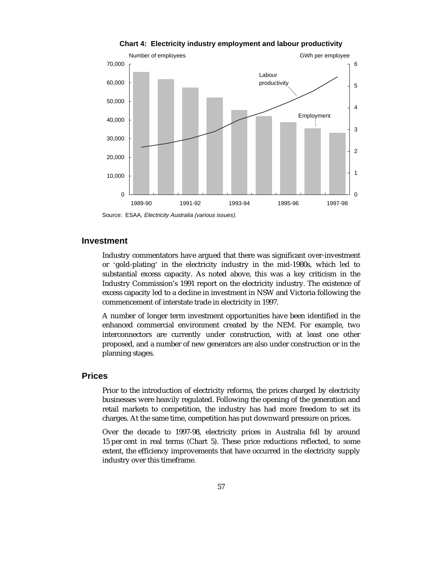

**Chart 4: Electricity industry employment and labour productivity**

Source: ESAA, Electricity Australia (various issues).

#### **Investment**

Industry commentators have argued that there was significant over-investment or 'gold-plating' in the electricity industry in the mid-1980s, which led to substantial excess capacity. As noted above, this was a key criticism in the Industry Commission's 1991 report on the electricity industry. The existence of excess capacity led to a decline in investment in NSW and Victoria following the commencement of interstate trade in electricity in 1997.

A number of longer term investment opportunities have been identified in the enhanced commercial environment created by the NEM. For example, two interconnectors are currently under construction, with at least one other proposed, and a number of new generators are also under construction or in the planning stages.

#### **Prices**

Prior to the introduction of electricity reforms, the prices charged by electricity businesses were heavily regulated. Following the opening of the generation and retail markets to competition, the industry has had more freedom to set its charges. At the same time, competition has put downward pressure on prices.

Over the decade to 1997-98, electricity prices in Australia fell by around 15 per cent in real terms (Chart 5). These price reductions reflected, to some extent, the efficiency improvements that have occurred in the electricity supply industry over this timeframe.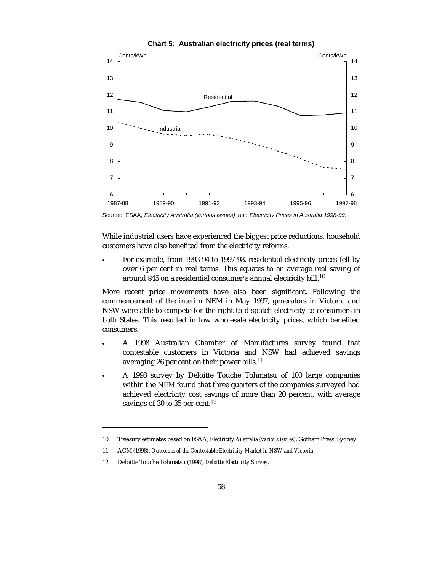

**Chart 5: Australian electricity prices (real terms)**

Source: ESAA, Electricity Australia (various issues) and Electricity Prices in Australia 1998-99.

While industrial users have experienced the biggest price reductions, household customers have also benefited from the electricity reforms.

 $\ddot{\phantom{a}}$  For example, from 1993-94 to 1997-98, residential electricity prices fell by over 6 per cent in real terms. This equates to an average real saving of around \$45 on a residential consumer's annual electricity bill.<sup>10</sup>

More recent price movements have also been significant. Following the commencement of the interim NEM in May 1997, generators in Victoria and NSW were able to compete for the right to dispatch electricity to consumers in both States. This resulted in low wholesale electricity prices, which benefited consumers.

- $\ddot{\phantom{a}}$  A 1998 Australian Chamber of Manufactures survey found that contestable customers in Victoria and NSW had achieved savings averaging 26 per cent on their power bills.<sup>11</sup>
- $\ddot{\phantom{a}}$  A 1998 survey by Deloitte Touche Tohmatsu of 100 large companies within the NEM found that three quarters of the companies surveyed had achieved electricity cost savings of more than 20 percent, with average savings of 30 to 35 per cent.<sup>12</sup>

-

<sup>10</sup> Treasury estimates based on ESAA, *Electricity Australia (various issues),* Gotham Press, Sydney.

<sup>11</sup> ACM (1998), *Outcomes of the Contestable Electricity Market in NSW and Victoria.*

<sup>12</sup> Deloitte Touche Tohmatsu (1998), *Deloitte Electricity Survey*.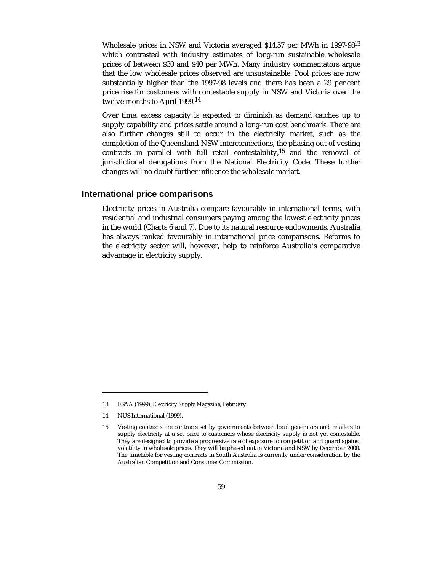Wholesale prices in NSW and Victoria averaged \$14.57 per MWh in 1997-98<sup>13</sup> which contrasted with industry estimates of long-run sustainable wholesale prices of between \$30 and \$40 per MWh. Many industry commentators argue that the low wholesale prices observed are unsustainable. Pool prices are now substantially higher than the 1997-98 levels and there has been a 29 per cent price rise for customers with contestable supply in NSW and Victoria over the twelve months to April 1999.14

Over time, excess capacity is expected to diminish as demand catches up to supply capability and prices settle around a long-run cost benchmark. There are also further changes still to occur in the electricity market, such as the completion of the Queensland-NSW interconnections, the phasing out of vesting contracts in parallel with full retail contestability,<sup>15</sup> and the removal of jurisdictional derogations from the National Electricity Code. These further changes will no doubt further influence the wholesale market.

#### **International price comparisons**

Electricity prices in Australia compare favourably in international terms, with residential and industrial consumers paying among the lowest electricity prices in the world (Charts 6 and 7). Due to its natural resource endowments, Australia has always ranked favourably in international price comparisons. Reforms to the electricity sector will, however, help to reinforce Australia's comparative advantage in electricity supply.

-

<sup>13</sup> ESAA (1999), *Electricity Supply Magazine*, February.

<sup>14</sup> NUS International (1999).

<sup>15</sup> Vesting contracts are contracts set by governments between local generators and retailers to supply electricity at a set price to customers whose electricity supply is not yet contestable. They are designed to provide a progressive rate of exposure to competition and guard against volatility in wholesale prices. They will be phased out in Victoria and NSW by December 2000. The timetable for vesting contracts in South Australia is currently under consideration by the Australian Competition and Consumer Commission.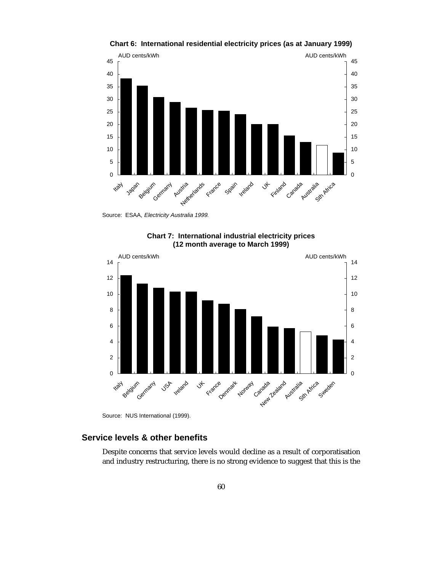

**Chart 6: International residential electricity prices (as at January 1999)**

Source: ESAA, Electricity Australia 1999.



**Chart 7: International industrial electricity prices (12 month average to March 1999)**

Source: NUS International (1999).

# **Service levels & other benefits**

Despite concerns that service levels would decline as a result of corporatisation and industry restructuring, there is no strong evidence to suggest that this is the